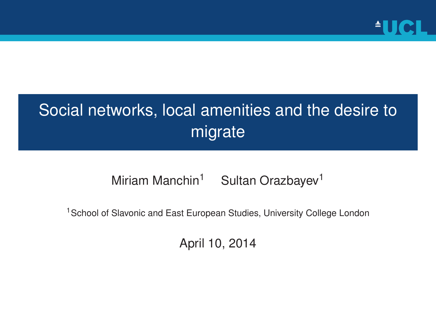

#### Social networks, local amenities and the desire to migrate

Miriam Manchin<sup>1</sup> Sultan Orazbayev<sup>1</sup>

<sup>1</sup> School of Slavonic and East European Studies, University College London

April 10, 2014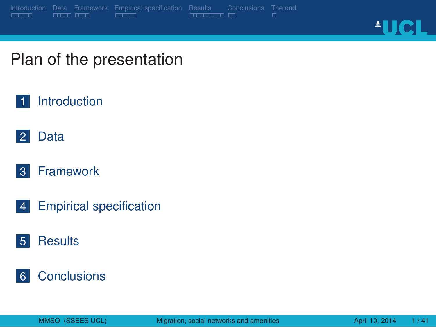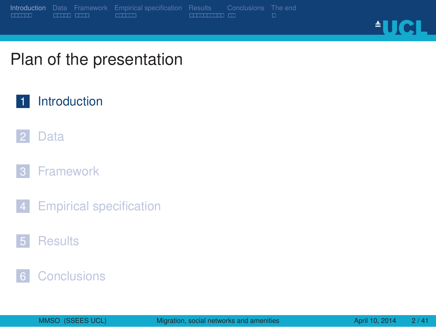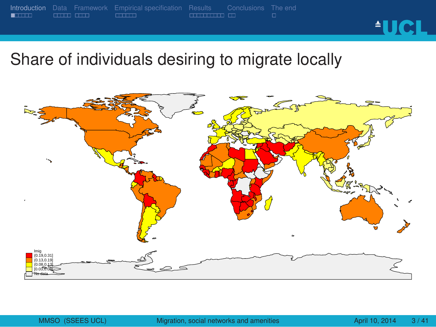

Share of individuals desiring to migrate locally

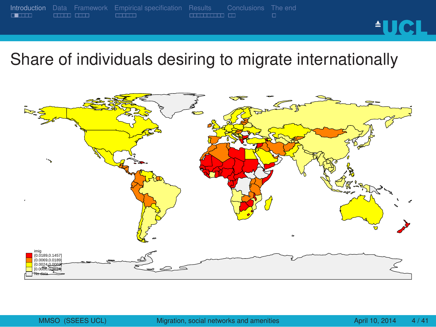

Share of individuals desiring to migrate internationally

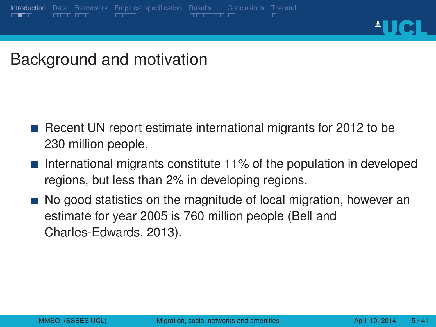#### **Introduction** Data Framework<br> **ELLERENT BELLER** . . . . . . Empirical specification Results Conclusions<br>**ELECTERE** ED **AUCL**

#### Background and motivation

- Recent UN report estimate international migrants for 2012 to be 230 million people.
- **International migrants constitute 11% of the population in developed** regions, but less than 2% in developing regions.
- No good statistics on the magnitude of local migration, however an estimate for year 2005 is 760 million people (Bell and Charles-Edwards, 2013).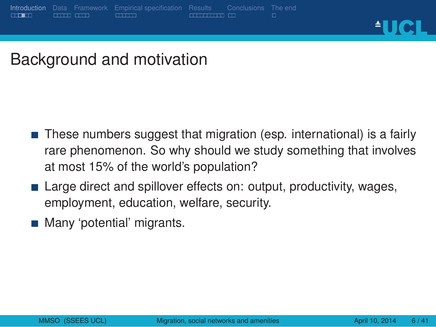#### **Introduction** Data Framework<br> **ELLERENT BELLEREN DELLERENT DELLEREN** . . . . . . Empirical specification Results Conclusions<br>**ELECTERE** ED

**AUCL** 

Background and motivation

- These numbers suggest that migration (esp. international) is a fairly rare phenomenon. So why should we study something that involves at most 15% of the world's population?
- Large direct and spillover effects on: output, productivity, wages, employment, education, welfare, security.
- **Many** 'potential' migrants.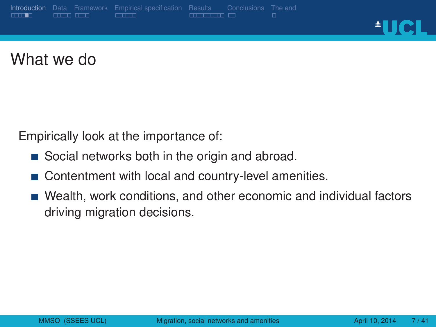#### **Introduction** Data Framework<br> **ELLER** CILLE CILLE . . . . . . Empirical specification Results Conclusions<br>**ELECTERE** ED

<u>AUCL</u>

What we do

Empirically look at the importance of:

- Social networks both in the origin and abroad.
- Contentment with local and country-level amenities.
- Wealth, work conditions, and other economic and individual factors driving migration decisions.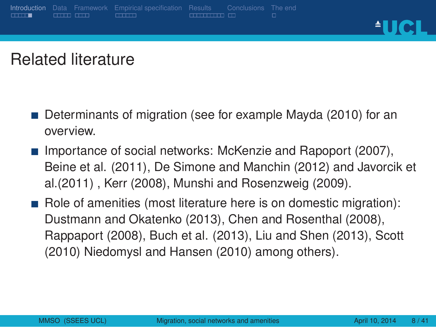**Introduction** Data Framework<br> **ELECTE** CLEED CLEEP

**AUCL** 

Related literature

. . . . . . Empirical specification

- Determinants of migration (see for example Mayda (2010) for an overview.
- **Importance of social networks: McKenzie and Rapoport (2007),** Beine et al. (2011), De Simone and Manchin (2012) and Javorcik et al.(2011) , Kerr (2008), Munshi and Rosenzweig (2009).

Results Conclusions<br>**ELECTERE** ED

Role of amenities (most literature here is on domestic migration): Dustmann and Okatenko (2013), Chen and Rosenthal (2008), Rappaport (2008), Buch et al. (2013), Liu and Shen (2013), Scott (2010) Niedomysl and Hansen (2010) among others).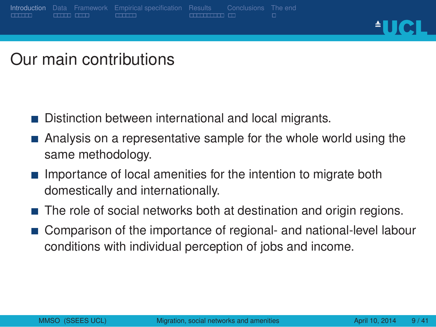Data Framework<br>COLO COLO

. . . . . . Introduction

**AUCL** 

Our main contributions

Distinction between international and local migrants.

. . . . . . Empirical specification

Analysis on a representative sample for the whole world using the same methodology.

Results Conclusions<br>**ELECTERE** ED

- $\blacksquare$  Importance of local amenities for the intention to migrate both domestically and internationally.
- The role of social networks both at destination and origin regions.
- **Comparison of the importance of regional- and national-level labour** conditions with individual perception of jobs and income.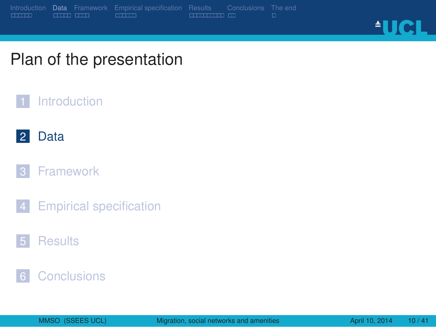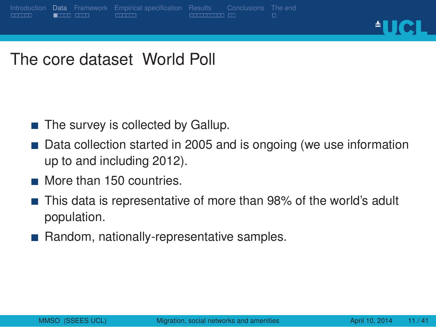#### . . . . . . Introduction Data Framework<br>**ELITO CITO** . . . . . . Empirical specification Results Conclusions<br>**ELECTERE** ED **AUCL**

The core dataset World Poll

- $\blacksquare$  The survey is collected by Gallup.
- Data collection started in 2005 and is ongoing (we use information up to and including 2012).
- More than 150 countries.
- This data is representative of more than 98% of the world's adult population.
- Random, nationally-representative samples.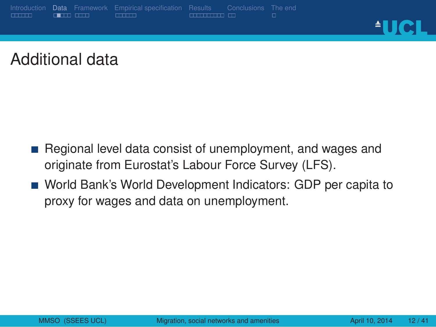#### . . . . . . Introduction Data Framework<br>**Data Citri** . . . . . . Empirical specification Results Conclusions<br>**ELECTERE** ED <u>AUCL</u>

Additional data

- Regional level data consist of unemployment, and wages and originate from Eurostat's Labour Force Survey (LFS).
- World Bank's World Development Indicators: GDP per capita to proxy for wages and data on unemployment.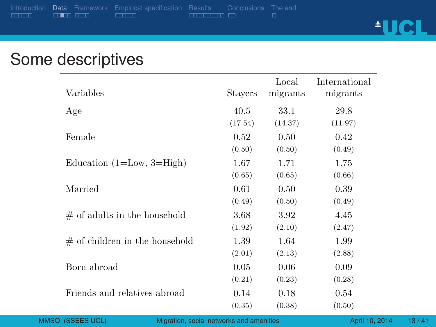Data Framework Empirical specification<br> **Example:** Example: Example: Example: Example: Example: Example: Example: Example: Example: Example: Example: E

<u>AUCL</u>

## Some descriptives

| Variables                                                 | <b>Stayers</b>  | Local<br>migrants | International<br>migrants |       |
|-----------------------------------------------------------|-----------------|-------------------|---------------------------|-------|
| Age                                                       | 40.5<br>(17.54) | 33.1<br>(14.37)   | 29.8<br>(11.97)           |       |
| Female                                                    | 0.52<br>(0.50)  | 0.50<br>(0.50)    | 0.42<br>(0.49)            |       |
| Education $(1=Low, 3=High)$                               | 1.67<br>(0.65)  | 1.71<br>(0.65)    | 1.75<br>(0.66)            |       |
| Married                                                   | 0.61<br>(0.49)  | 0.50<br>(0.50)    | 0.39<br>(0.49)            |       |
| $#$ of adults in the household                            | 3.68<br>(1.92)  | 3.92<br>(2.10)    | 4.45<br>(2.47)            |       |
| $#$ of children in the household                          | 1.39<br>(2.01)  | 1.64<br>(2.13)    | 1.99<br>(2.88)            |       |
| Born abroad                                               | 0.05<br>(0.21)  | 0.06<br>(0.23)    | 0.09<br>(0.28)            |       |
| Friends and relatives abroad                              | 0.14<br>(0.35)  | 0.18<br>(0.38)    | 0.54<br>(0.50)            |       |
| O (SSEES UCL)<br>Migration, social networks and amenities |                 |                   | April 10, 2014            | 13/41 |

Results Conclusions<br>**ELECTERE** ED

The end<br>□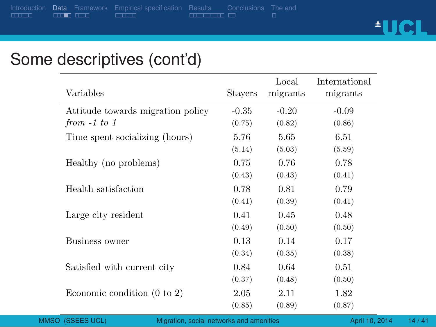Data Framework Empirical specification<br> **ELLER** ELLER Results Conclusions<br>**ELECTERE** ED

<u>AUCL</u>

### Some descriptives (cont'd)

| Variables                              | <b>Stavers</b> | Local<br>migrants | International<br>migrants |
|----------------------------------------|----------------|-------------------|---------------------------|
| Attitude towards migration policy      | $-0.35$        | $-0.20$           | $-0.09$                   |
| from $-1$ to 1                         | (0.75)         | (0.82)            | (0.86)                    |
| Time spent socializing (hours)         | 5.76           | 5.65              | 6.51                      |
|                                        | (5.14)         | (5.03)            | (5.59)                    |
| Healthy (no problems)                  | 0.75           | 0.76              | 0.78                      |
|                                        | (0.43)         | (0.43)            | (0.41)                    |
| Health satisfaction                    | 0.78           | 0.81              | 0.79                      |
|                                        | (0.41)         | (0.39)            | (0.41)                    |
| Large city resident                    | 0.41           | 0.45              | 0.48                      |
|                                        | (0.49)         | (0.50)            | (0.50)                    |
| Business owner                         | 0.13           | 0.14              | 0.17                      |
|                                        | (0.34)         | (0.35)            | (0.38)                    |
| Satisfied with current city            | 0.84           | 0.64              | 0.51                      |
|                                        | (0.37)         | (0.48)            | (0.50)                    |
| Economic condition $(0 \text{ to } 2)$ | 2.05           | 2.11              | 1.82                      |
|                                        | (0.85)         | (0.89)            | (0.87)                    |

The end<br>□

Migration, social networks and amenities April 10, 2014 14/41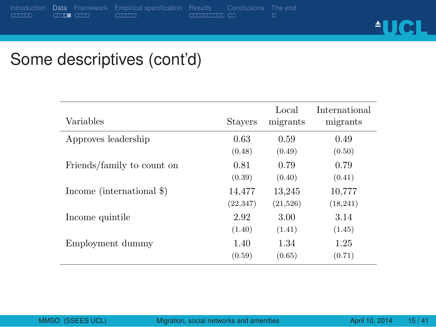Data Framework Empirical specification Results Conclusions The end<br>مستقدمات المستقدمات المستقدمات المستقدمات

<u>AUCL</u>

## Some descriptives (cont'd)

| Variables                  | <b>Stavers</b> | Local<br>migrants | International<br>migrants |
|----------------------------|----------------|-------------------|---------------------------|
| Approves leadership        | 0.63           | 0.59              | 0.49                      |
|                            | (0.48)         | (0.49)            | (0.50)                    |
| Friends/family to count on | 0.81           | 0.79              | 0.79                      |
|                            | (0.39)         | (0.40)            | (0.41)                    |
| Income (international \$)  | 14,477         | 13,245            | 10.777                    |
|                            | (22, 347)      | (21,526)          | (18, 241)                 |
| Income quintile            | 2.92           | 3.00              | 3.14                      |
|                            | (1.40)         | (1.41)            | (1.45)                    |
| Employment dummy           | 1.40           | 1.34              | 1.25                      |
|                            | (0.59)         | (0.65)            | (0.71)                    |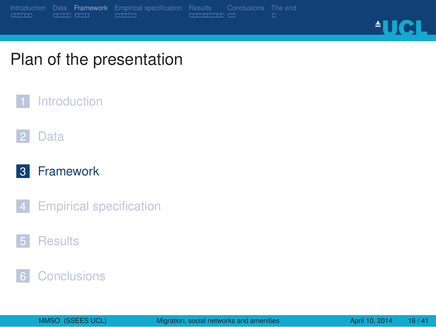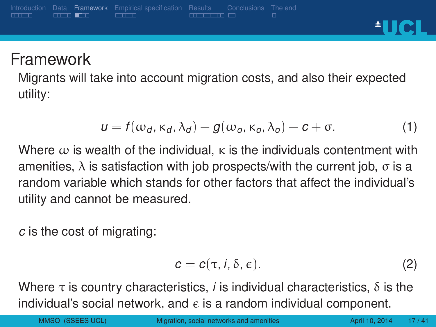#### . . . . . . Introduction Data **Framework** Empirical specification<br>**ELECTE** CLIPS Results Conclusions<br>**ELECTERE** ED

<u><sup>A</sup>UCL</u>

#### **Framework**

Migrants will take into account migration costs, and also their expected utility:

$$
u = f(\omega_d, \kappa_d, \lambda_d) - g(\omega_o, \kappa_o, \lambda_o) - c + \sigma.
$$
 (1)

Where  $\omega$  is wealth of the individual,  $\kappa$  is the individuals contentment with amenities,  $λ$  is satisfaction with job prospects/with the current job,  $σ$  is a random variable which stands for other factors that affect the individual's utility and cannot be measured.

*c* is the cost of migrating:

$$
c = c(\tau, i, \delta, \epsilon). \tag{2}
$$

Where  $\tau$  is country characteristics, *i* is individual characteristics,  $\delta$  is the individual's social network, and  $\epsilon$  is a random individual component.

MMSO (SSEES UCL) Migration, social networks and amenities April 10, 2014 17 / 41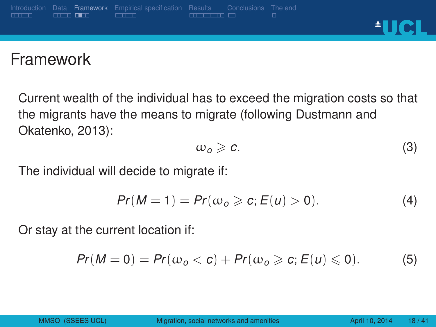#### . . . . . . Introduction Data **Framework** Empirical specification<br>**ELECTE CONTENT** Results Conclusions<br>**ELECTERE** ED **AUCL**

#### Framework

Current wealth of the individual has to exceed the migration costs so that the migrants have the means to migrate (following Dustmann and Okatenko, 2013):

$$
\omega_o \geqslant c. \tag{3}
$$

The individual will decide to migrate if:

$$
Pr(M=1) = Pr(\omega_o \geqslant c; E(u) > 0). \tag{4}
$$

Or stay at the current location if:

$$
Pr(M=0)=Pr(\omega_o < c)+Pr(\omega_o \geqslant c; E(u) \leqslant 0). \hspace{1cm} (5)
$$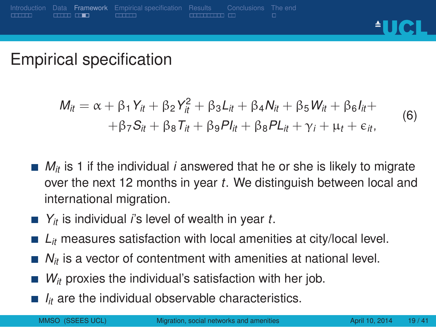### Empirical specification

Data **Framework**<br>COLO COLO

. . . . . . Introduction

$$
M_{it} = \alpha + \beta_1 Y_{it} + \beta_2 Y_{it}^2 + \beta_3 L_{it} + \beta_4 N_{it} + \beta_5 W_{it} + \beta_6 I_{it} + + \beta_7 S_{it} + \beta_8 T_{it} + \beta_9 P I_{it} + \beta_8 P L_{it} + \gamma_i + \mu_t + \epsilon_{it},
$$
 (6)

**AUCL** 

Results Conclusions<br>**ELECTERE** ED

- $M_{it}$  is 1 if the individual *i* answered that he or she is likely to migrate over the next 12 months in year *t*. We distinguish between local and international migration.
- *Y<sub>it</sub>* is individual *i*'s level of wealth in year *t*.

. . . . . . Empirical specification

- *L<sub>it</sub>* measures satisfaction with local amenities at city/local level.
- *N<sub>it</sub>* is a vector of contentment with amenities at national level.
- *W<sub>it</sub>* proxies the individual's satisfaction with her job.
- $I_{it}$  are the individual observable characteristics.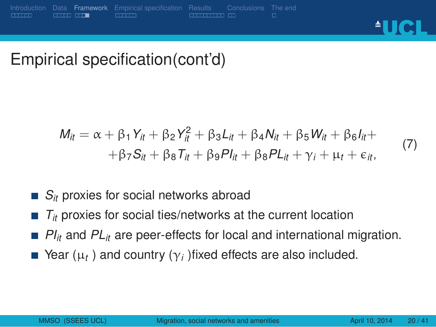Data **Framework**<br>COLO COD

. . . . . . Introduction

<u>AUCL</u>

Empirical specification(cont'd)

. . . . . . Empirical specification

$$
M_{it} = \alpha + \beta_1 Y_{it} + \beta_2 Y_{it}^2 + \beta_3 L_{it} + \beta_4 N_{it} + \beta_5 W_{it} + \beta_6 I_{it} ++ \beta_7 S_{it} + \beta_8 T_{it} + \beta_9 P I_{it} + \beta_8 P L_{it} + \gamma_i + \mu_t + \epsilon_{it},
$$
 (7)

Results Conclusions<br>**ELECTERE** ED

- $S_{it}$  proxies for social networks abroad
- $T_{it}$  proxies for social ties/networks at the current location
- $PI_{it}$  and  $PL_{it}$  are peer-effects for local and international migration.
- Year  $(\mu_t)$  and country  $(\gamma_i)$  fixed effects are also included.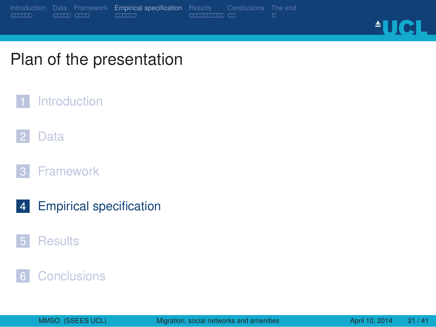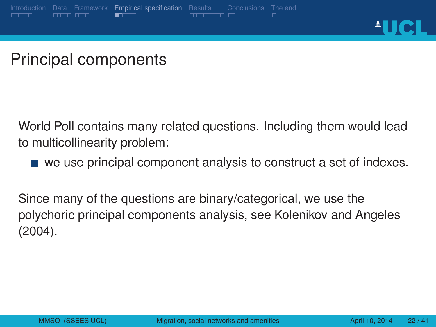

#### Principal components

World Poll contains many related questions. Including them would lead to multicollinearity problem:

we use principal component analysis to construct a set of indexes.

Since many of the questions are binary/categorical, we use the polychoric principal components analysis, see Kolenikov and Angeles (2004).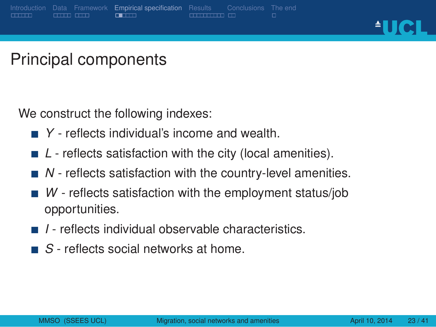Empirical specification<br>  $\square$ Results Conclusions<br>**ELECTERE** ED

**AUCL** 

Principal components

We construct the following indexes:

- *Y* reflects individual's income and wealth.
- *L* reflects satisfaction with the city (local amenities).
- *N* reflects satisfaction with the country-level amenities.
- *W* reflects satisfaction with the employment status/job opportunities.
- *I* reflects individual observable characteristics.
- *S* reflects social networks at home.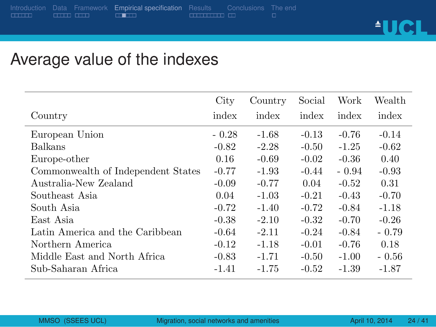. . . . . . Introduction Data Framework<br>COLO COLO Empirical specification Results Conclusions<br>
THERE IS CONCLUDED

<u>AUCL</u>

### Average value of the indexes

|                                    | City    | Country | Social  | Work    | Wealth  |
|------------------------------------|---------|---------|---------|---------|---------|
| Country                            | index   | index   | index   | index   | index   |
| European Union                     | $-0.28$ | $-1.68$ | $-0.13$ | $-0.76$ | $-0.14$ |
| <b>Balkans</b>                     | $-0.82$ | $-2.28$ | $-0.50$ | $-1.25$ | $-0.62$ |
| Europe-other                       | 0.16    | $-0.69$ | $-0.02$ | $-0.36$ | 0.40    |
| Commonwealth of Independent States | $-0.77$ | $-1.93$ | $-0.44$ | $-0.94$ | $-0.93$ |
| Australia-New Zealand              | $-0.09$ | $-0.77$ | 0.04    | $-0.52$ | 0.31    |
| Southeast Asia                     | 0.04    | $-1.03$ | $-0.21$ | $-0.43$ | $-0.70$ |
| South Asia                         | $-0.72$ | $-1.40$ | $-0.72$ | $-0.84$ | $-1.18$ |
| East Asia                          | $-0.38$ | $-2.10$ | $-0.32$ | $-0.70$ | $-0.26$ |
| Latin America and the Caribbean    | $-0.64$ | $-2.11$ | $-0.24$ | $-0.84$ | $-0.79$ |
| Northern America                   | $-0.12$ | $-1.18$ | $-0.01$ | $-0.76$ | 0.18    |
| Middle East and North Africa       | $-0.83$ | $-1.71$ | $-0.50$ | $-1.00$ | $-0.56$ |
| Sub-Saharan Africa                 | $-1.41$ | $-1.75$ | $-0.52$ | $-1.39$ | $-1.87$ |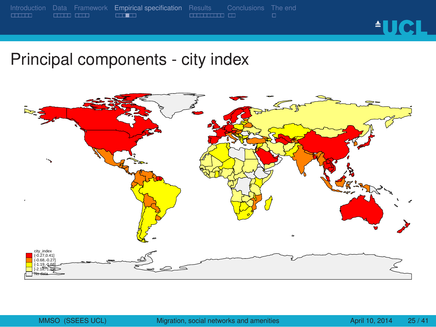

Principal components - city index

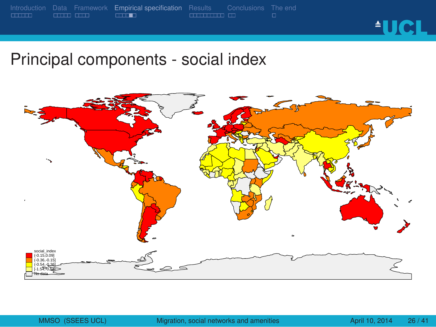

Principal components - social index

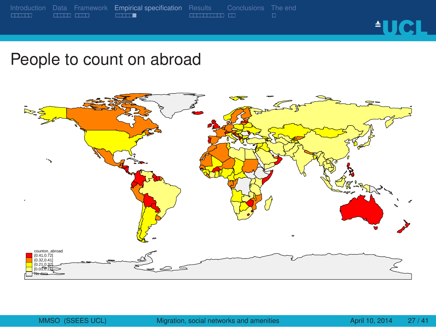![](_page_27_Picture_1.jpeg)

People to count on abroad

![](_page_27_Picture_3.jpeg)

Data Framework<br>COLO COLO . . . . . . Empirical specification Results Conclusions<br>**ELECTERE** ED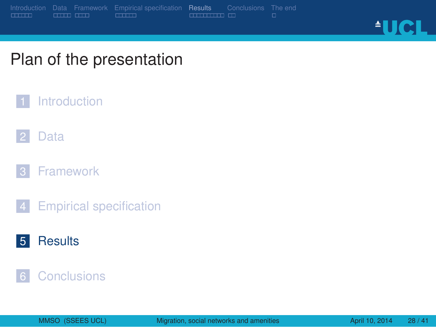![](_page_28_Picture_0.jpeg)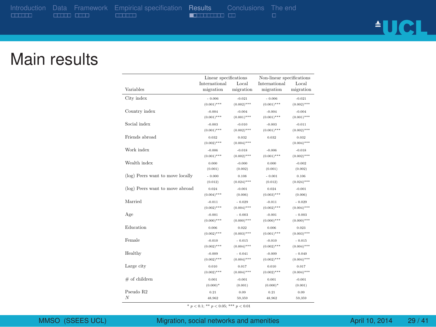. . . . . . Introduction . . . . . Data . . . . Framework . . . . . . Empirical specification Results Conclusions The end<br>  $\Box$   $\Box$   $\Box$   $\Box$   $\Box$   $\Box$ 

<u>AUCL</u>

#### Main results

|                                  | Linear specifications    |                                   | Non-linear specifications |                          |  |
|----------------------------------|--------------------------|-----------------------------------|---------------------------|--------------------------|--|
| Variables                        | International            | Local                             | International             | Local                    |  |
|                                  | migration                | migration                         | migration                 | migration                |  |
| City index                       | $-0.006$                 | $-0.021$                          | $-0.006$                  | $-0.021$                 |  |
|                                  | $(0.001)***$             | $(0.002)$ <sup>+++</sup>          | $(0.001)***$              | $(0.002)***$             |  |
| Country index                    | $-0.004$                 | $-0.004$                          | $-0.004$                  | $-0.004$                 |  |
|                                  | $(0.001)***$             | $(0.001)$ <sup>+++</sup>          | $(0.001)***$              | $(0.001)***$             |  |
| Social index                     | $-0.003$                 | $-0.010$                          | 500.0-                    | $-0.011$                 |  |
|                                  | $(0.001)***$             | $(0.002)$ <sup>+++</sup>          | $(0.001)***$              | $(0.002)***$             |  |
| Friends abroad                   | 0.032<br>$(0.002)***$    | 0.032<br>$(0.004)$ <sup>+++</sup> | 0.032                     | 0.032<br>$(0.004)***$    |  |
| Work index                       | $-0.006$                 | $-0.018$                          | $-0.006$                  | $-0.018$                 |  |
|                                  | $(0.001)***$             | $(0.002)$ <sup>+++</sup>          | $(0.001)***$              | $(0.002)$ <sup>***</sup> |  |
| Wealth index                     | 0.000                    | $-0.000$                          | 0.000                     | $-0.002$                 |  |
|                                  | (0.001)                  | (0.002)                           | (0.001)                   | (0.002)                  |  |
| (log) Peers want to move locally | $-0.000$                 | 0.108                             | $-0.001$                  | 0.106                    |  |
|                                  | (0.012)                  | $(0.024)$ <sup>+++</sup>          | (0.012)                   | $(0.024)***$             |  |
| (log) Peers want to move abroad  | 0.024                    | $-0.001$                          | 0.024                     | $-0.001$                 |  |
|                                  | $(0.004)***$             | (0.006)                           | $(0.003)***$              | (0.006)                  |  |
| Married                          | $-0.011$                 | $-0.029$                          | $-0.011$                  | $-0.029$                 |  |
|                                  | $(0.002)***$             | $(0.004)$ <sup>+++</sup>          | $(0.002)***$              | $(0.004)***$             |  |
| Age                              | $-0.001$                 | $-0.003$                          | $-0.001$                  | $-0.003$                 |  |
|                                  | $(0.000)$ ***            | $(0.000)***$                      | $(0.000)$ ***             | $(0.000)$ ***            |  |
| Education                        | 0.006                    | 0.022                             | 0.006                     | 0.023                    |  |
|                                  | $(0.002)***$             | $(0.003)$ <sup>+++</sup>          | $(0.001)***$              | $(0.003)***$             |  |
| Female                           | $-0.010$                 | $-0.015$                          | $-0.010$                  | $-0.015$                 |  |
|                                  | $(0.002)$ ***            | $(0.004)$ <sup>+++</sup>          | $(0.002)***$              | $(0.004)***$             |  |
| Healthy                          | $-0.009$                 | $-0.041$                          | $-0.009$                  | $-0.040$                 |  |
|                                  | $(0.002)***$             | $(0.004)$ <sup>+++</sup>          | $(0.002)***$              | $(0.004)***$             |  |
| Large city                       | 0.010                    | 0.017                             | 0.010                     | 0.017                    |  |
|                                  | $(0.002)$ <sup>***</sup> | $(0.004)$ <sup>+++</sup>          | $(0.002)***$              | $(0.004)***$             |  |
| $#$ of children                  | 0.001                    | $-0.001$                          | 0.001                     | $-0.001$                 |  |
|                                  | $(0.000)^*$              | (0.001)                           | $(0.000)^*$               | (0.001)                  |  |
| Pseudo R2                        | 0.21                     | 0.09                              | 0.21                      | 0.09                     |  |
| $\boldsymbol{N}$                 | 48.962                   | 59.359                            | 48.962                    | 59,359                   |  |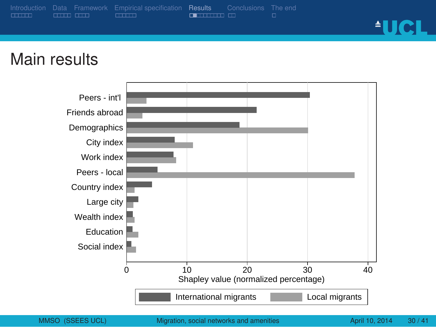![](_page_30_Figure_0.jpeg)

![](_page_30_Figure_1.jpeg)

#### Main results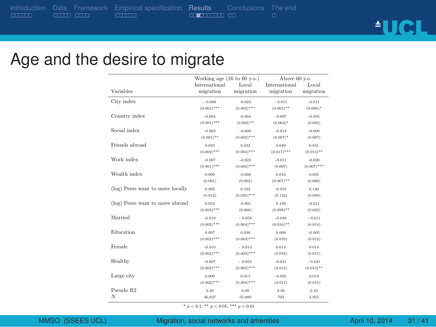. . . . . . Introduction

. . . . . . Empirical specification Results Conclusions<br> **Experience Experience**  The end<br>□

<u>AUCL</u>

### Age and the desire to migrate

|                                  | Working age $(16 \text{ to } 60 \text{ y.o.})$<br>International | Local           | Above 60 v.o.<br>International | Local         |
|----------------------------------|-----------------------------------------------------------------|-----------------|--------------------------------|---------------|
| Variables                        | migration                                                       | migration       | migration                      | migration     |
| City index                       | $-0.006$                                                        | $-0.022$        | $-0.011$                       | $-0.011$      |
|                                  | $(0.001)$ ***                                                   | $(0.002)$ ***   | $(0.005)$ **                   | $(0.006)^*$   |
| Country index                    | $-0.004$                                                        | $-0.004$        | $-0.007$                       | $-0.005$      |
|                                  | $(0.001)$ ***                                                   | $(0.002)$ **    | $(0.004)^*$                    | (0.005)       |
| Social index                     | $-0.003$                                                        | $-0.009$        | $-0.012$                       | $-0.009$      |
|                                  | $(0.001)$ **                                                    | $(0.002)^{***}$ | $(0.007)^*$                    | (0.007)       |
| Friends abroad                   | 0.033                                                           | 0.032           | 0.049                          | 0.031         |
|                                  | $(0.002)$ ***                                                   | $(0.004)$ ***   | $(0.017)$ ***                  | $(0.014)$ **  |
| Work index                       | $-0.007$                                                        | $-0.022$        | $-0.011$                       | $-0.020$      |
|                                  | $(0.001)$ ***                                                   | $(0.002)$ ***   | (0.007)                        | $(0.007)$ *** |
| Wealth index                     | 0.000                                                           | $-0.000$        | 0.016                          | 0.005         |
|                                  | (0.001)                                                         | (0.002)         | $(0.007)^{**}$                 | (0.006)       |
| (log) Peers want to move locally | 0.002                                                           | 0.102           | $-0.053$                       | 0.140         |
|                                  | (0.012)                                                         | $(0.025)$ ***   | (0.142)                        | (0.089)       |
| (log) Peers want to move abroad  | 0.024                                                           | $-0.001$        | 0.199                          | $-0.011$      |
|                                  | $(0.004)$ ***                                                   | (0.006)         | $(0.098)$ **                   | (0.022)       |
| Married                          | $-0.019$                                                        | $-0.059$        | $-0.039$                       | $-0.011$      |
|                                  | $(0.002)$ ***                                                   | $(0.004)$ ***   | $(0.016)$ **                   | (0.014)       |
| Education                        | 0.007                                                           | 0.030           | 0.008                          | $-0.005$      |
|                                  | $(0.002)$ ***                                                   | $(0.003)$ ***   | (0.010)                        | (0.012)       |
| Female                           | $-0.010$                                                        | $-0.013$        | 0.014                          | 0.014         |
|                                  | $(0.002)$ ***                                                   | $(0.004)$ ***   | (0.016)                        | (0.015)       |
| Healthy                          | $-0.007$                                                        | $-0.032$        | $-0.021$                       | $-0.031$      |
|                                  | $(0.002)$ ***                                                   | $(0.005)$ ***   | (0.015)                        | $(0.013)$ **  |
| Large city                       | 0.009                                                           | 0.015           | $-0.005$                       | 0.019         |
|                                  | $(0.002)$ ***                                                   | $(0.004)$ ***   | (0.012)                        | (0.015)       |
| Pseudo R2                        | 0.20                                                            | 0.08            | 0.30                           | 0.10          |
| N                                | 46.027                                                          | 55,880          | 703                            | 2,955         |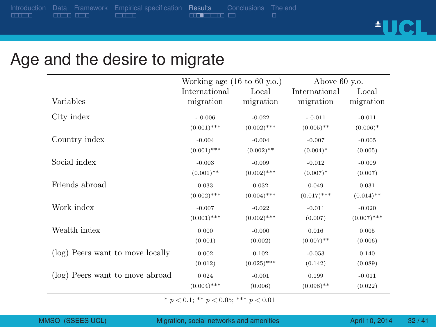. . . . . . Empirical specification Results Conclusions<br>
<del>ELECTION</del> ID The end<br>□

<u>AUCL</u>

### Age and the desire to migrate

|                                  | Working age $(16 \text{ to } 60 \text{ y.o.})$ |               | Above 60 v.o. |               |  |
|----------------------------------|------------------------------------------------|---------------|---------------|---------------|--|
| Variables                        | International                                  | Local         | International | Local         |  |
|                                  | migration                                      | migration     | migration     | migration     |  |
| City index                       | $-0.006$                                       | $-0.022$      | $-0.011$      | $-0.011$      |  |
|                                  | $(0.001)$ ***                                  | $(0.002)$ *** | $(0.005)$ **  | $(0.006)*$    |  |
| Country index                    | $-0.004$                                       | $-0.004$      | $-0.007$      | $-0.005$      |  |
|                                  | $(0.001)$ ***                                  | $(0.002)$ **  | $(0.004)*$    | (0.005)       |  |
| Social index                     | $-0.003$                                       | $-0.009$      | $-0.012$      | $-0.009$      |  |
|                                  | $(0.001)$ **                                   | $(0.002)$ *** | $(0.007)^*$   | (0.007)       |  |
| Friends abroad                   | 0.033                                          | 0.032         | 0.049         | 0.031         |  |
|                                  | $(0.002)$ ***                                  | $(0.004)$ *** | $(0.017)$ *** | $(0.014)$ **  |  |
| Work index                       | $-0.007$                                       | $-0.022$      | $-0.011$      | $-0.020$      |  |
|                                  | $(0.001)$ ***                                  | $(0.002)$ *** | (0.007)       | $(0.007)$ *** |  |
| Wealth index                     | 0.000                                          | $-0.000$      | 0.016         | 0.005         |  |
|                                  | (0.001)                                        | (0.002)       | $(0.007)$ **  | (0.006)       |  |
| (log) Peers want to move locally | 0.002                                          | 0.102         | $-0.053$      | 0.140         |  |
|                                  | (0.012)                                        | $(0.025)$ *** | (0.142)       | (0.089)       |  |
| (log) Peers want to move abroad  | 0.024                                          | $-0.001$      | 0.199         | $-0.011$      |  |
|                                  | $(0.004)$ ***                                  | (0.006)       | $(0.098)$ **  | (0.022)       |  |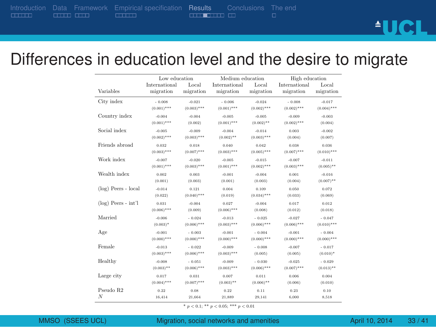. . . . . . Introduction Data Framework<br>COLO COLO . . . . . . Empirical specification Results Conclusions<br>
<del>ELLED LED</del> CD The end<br>□

# <u>AUCL</u>

### Differences in education level and the desire to migrate

|                        | Low education   |               | Medium education |               | High education  |                 |  |
|------------------------|-----------------|---------------|------------------|---------------|-----------------|-----------------|--|
| Variables              | International   | Local         | International    | Local         | International   | Local           |  |
|                        | migration       | migration     | migration        | migration     | migration       | migration       |  |
| City index             | $-0.008$        | $-0.021$      | $-0.006$         | $-0.024$      | $-0.008$        | $-0.017$        |  |
|                        | $(0.001)$ ***   | $(0.003)$ *** | $(0.001)$ ***    | $(0.002)$ *** | $(0.002)$ ***   | $(0.004)$ ***   |  |
| Country index          | $-0.004$        | $-0.004$      | $-0.005$         | $-0.005$      | $-0.009$        | $-0.003$        |  |
|                        | $(0.001)$ ***   | (0.002)       | $(0.001)$ ***    | $(0.002)$ **  | $(0.002)^{***}$ | (0.004)         |  |
| Social index           | $-0.005$        | $-0.009$      | $-0.004$         | $-0.014$      | 0.003           | $-0.002$        |  |
|                        | $(0.002)^{***}$ | $(0.003)$ *** | $(0.002)^{**}$   | $(0.003)$ *** | (0.004)         | (0.007)         |  |
| Friends abroad         | 0.032           | 0.018         | 0.040            | 0.042         | 0.038           | 0.036           |  |
|                        | $(0.003)$ ***   | $(0.007)$ *** | $(0.003)$ ***    | $(0.005)$ *** | $(0.007)^{***}$ | $(0.010)$ ***   |  |
| Work index             | $-0.007$        | $-0.020$      | $-0.005$         | $-0.015$      | $-0.007$        | $-0.011$        |  |
|                        | $(0.001)$ ***   | $(0.003)$ *** | $(0.001)$ ***    | $(0.002)$ *** | $(0.003)$ ***   | $(0.005)$ **    |  |
| Wealth index           | 0.002           | 0.003         | $-0.001$         | $-0.004$      | 0.001           | $-0.016$        |  |
|                        | (0.001)         | (0.003)       | (0.001)          | (0.003)       | (0.004)         | $(0.007)^{**}$  |  |
| (log) Peers - local    | $-0.014$        | 0.121         | 0.004            | 0.109         | 0.050           | 0.072           |  |
|                        | (0.022)         | $(0.040)$ *** | (0.019)          | $(0.034)$ *** | (0.033)         | (0.069)         |  |
| $(\log)$ Peers - int'l | 0.031           | $-0.004$      | 0.027            | $-0.004$      | 0.017           | 0.012           |  |
|                        | $(0.006)$ ***   | (0.009)       | $(0.006)$ ***    | (0.008)       | (0.012)         | (0.018)         |  |
| Married                | -0.006          | $-0.024$      | $-0.013$         | $-0.025$      | .0.027          | $-0.047$        |  |
|                        | $(0.003)^*$     | $(0.006)$ *** | $(0.003)$ ***    | $(0.006)$ *** | $(0.006)^{***}$ | $(0.010)^{***}$ |  |
| Age                    | $-0.001$        | $-0.003$      | $-0.001$         | $-0.004$      | $-0.001$        | $-0.004$        |  |
|                        | $(0.000)$ ***   | $(0.000)$ *** | $(0.000)$ ***    | $(0.000)$ *** | $(0.000)$ ***   | $(0.000)$ ***   |  |
| Female                 | $-0.013$        | $-0.022$      | $-0.009$         | $-0.008$      | $-0.007$        | $-0.017$        |  |
|                        | $(0.003)***$    | $(0.006)$ *** | $(0.003)$ ***    | (0.005)       | (0.005)         | $(0.010)^*$     |  |
| Healthy                | $-0.008$        | $-0.051$      | $-0.009$         | $-0.030$      | $-0.025$        | $-0.029$        |  |
|                        | $(0.003)$ **    | $(0.006)$ *** | $(0.003)***$     | $(0.006)$ *** | $(0.007)$ ***   | $(0.013)$ **    |  |
| Large city             | 0.017           | 0.031         | 0.007            | 0.011         | 0.006           | 0.004           |  |
|                        | $(0.004)$ ***   | $(0.007)$ *** | $(0.003)$ **     | $(0.006)$ **  | (0.006)         | (0.010)         |  |
| Pseudo R2              | 0.22            | 0.08          | 0.22             | 0.11          | 0.23            | 0.10            |  |
| N                      | 16,414          | 21,664        | 21.889           | 29,141        | 6.000           | 8.518           |  |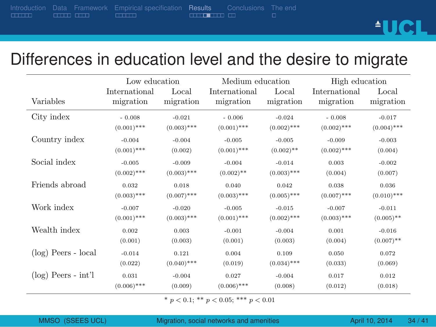|                         |                   | itroduction Data Framework Empirical specification Results Conclusions The end |                             |  |             |
|-------------------------|-------------------|--------------------------------------------------------------------------------|-----------------------------|--|-------------|
| $\overline{\text{min}}$ | <b>CONTRACTOR</b> | $\Box$                                                                         | <b>STATISTIC STATISTICS</b> |  |             |
|                         |                   |                                                                                |                             |  | <b>AUCL</b> |
|                         |                   |                                                                                |                             |  |             |

## Differences in education level and the desire to migrate

|                       | Low education |               | Medium education | High education |               |               |
|-----------------------|---------------|---------------|------------------|----------------|---------------|---------------|
| Variables             | International | Local         | International    | Local          | International | Local         |
|                       | migration     | migration     | migration        | migration      | migration     | migration     |
| City index            | $-0.008$      | $-0.021$      | $-0.006$         | $-0.024$       | $-0.008$      | $-0.017$      |
|                       | $(0.001)$ *** | $(0.003)$ *** | $(0.001)$ ***    | $(0.002)$ ***  | $(0.002)$ *** | $(0.004)$ *** |
| Country index         | $-0.004$      | $-0.004$      | $-0.005$         | $-0.005$       | $-0.009$      | $-0.003$      |
|                       | $(0.001)$ *** | (0.002)       | $(0.001)$ ***    | $(0.002)$ **   | $(0.002)$ *** | (0.004)       |
| Social index          | $-0.005$      | $-0.009$      | $-0.004$         | $-0.014$       | 0.003         | $-0.002$      |
|                       | $(0.002)$ *** | $(0.003)$ *** | $(0.002)$ **     | $(0.003)$ ***  | (0.004)       | (0.007)       |
| Friends abroad        | 0.032         | 0.018         | 0.040            | 0.042          | 0.038         | 0.036         |
|                       | $(0.003)$ *** | $(0.007)$ *** | $(0.003)$ ***    | $(0.005)$ ***  | $(0.007)$ *** | $(0.010)$ *** |
| Work index            | $-0.007$      | $-0.020$      | $-0.005$         | $-0.015$       | $-0.007$      | $-0.011$      |
|                       | $(0.001)$ *** | $(0.003)$ *** | $(0.001)$ ***    | $(0.002)$ ***  | $(0.003)$ *** | $(0.005)$ **  |
| Wealth index          | 0.002         | 0.003         | $-0.001$         | $-0.004$       | 0.001         | $-0.016$      |
|                       | (0.001)       | (0.003)       | (0.001)          | (0.003)        | (0.004)       | $(0.007)$ **  |
| (log) Peers - local   | $-0.014$      | 0.121         | 0.004            | 0.109          | 0.050         | 0.072         |
|                       | (0.022)       | $(0.040)$ *** | (0.019)          | $(0.034)$ ***  | (0.033)       | (0.069)       |
| $(log)$ Peers - int'l | 0.031         | $-0.004$      | 0.027            | $-0.004$       | 0.017         | 0.012         |
|                       | $(0.006)$ *** | (0.009)       | $(0.006)$ ***    | (0.008)        | (0.012)       | (0.018)       |

 $p < 0.1$ ; \*\*  $p < 0.05$ ; \*\*\*  $p < 0.01$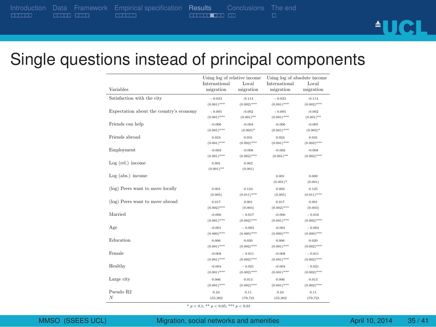. . . . . . Introduction

Data Framework<br>COLO COLO

. . . . . . Empirical specification Results Conclusions<br>
<del>ELECTERED ED</del>

<u>AUCL</u>

## Single questions instead of principal components

| Variables                               | Using log of relative income<br>International<br>migration | Local<br>migration       | Using log of absolute income<br>International<br>migration | Local<br>migration      |
|-----------------------------------------|------------------------------------------------------------|--------------------------|------------------------------------------------------------|-------------------------|
| Satisfaction with the city              | $-0.023$                                                   | $-0.114$                 | $-0.023$                                                   | $-0.114$                |
|                                         | $(0.001)$ ***                                              | $(0.002)$ <sup>+++</sup> | $(0.001)***$                                               | $(0.002)***$            |
| Expectation about the country's economy | $-0.005$                                                   | $-0.002$                 | $-0.005$                                                   | $-0.002$                |
|                                         | $(0.001)$ ***                                              | $(0.001)$ <sup>++</sup>  | $(0.001)***$                                               | $(0.001)$ <sup>**</sup> |
| Friends can help                        | $-0.006$                                                   | $-0.004$                 | $-0.006$                                                   | $-0.005$                |
|                                         | $(0.001)$ <sup>+++</sup>                                   | $(0.003)^*$              | $(0.001)$ <sup>+++</sup>                                   | $(0.003)^*$             |
| Friends abroad                          | 0.024                                                      | 0.031                    | 0.024                                                      | 0.031                   |
|                                         | $(0.001)$ ***                                              | $(0.002)$ <sup>+++</sup> | $(0.001)***$                                               | $(0.002)***$            |
| Employment                              | $-0.002$                                                   | $-0.008$                 | $-0.002$                                                   | $-0.008$                |
|                                         | $(0.001)$ ***                                              | $(0.002)$ <sup>+++</sup> | $(0.001)$ <sup>**</sup>                                    | $(0.002)***$            |
| Log (rel.) income                       | 0.001                                                      | 0.002                    |                                                            |                         |
|                                         | $(0.001)$ <sup>++</sup>                                    | (0.001)                  |                                                            |                         |
| Log (abs.) income                       |                                                            |                          | 0.001                                                      | 0.000                   |
|                                         |                                                            |                          | $(0.001)^*$                                                | (0.001)                 |
| (log) Peers want to move locally        | 0.001                                                      | 0.124                    | 0.002                                                      | 0.125                   |
|                                         | (0.005)                                                    | $(0.011)$ <sup>+++</sup> | (0.005)                                                    | $(0.011)***$            |
| (log) Peers want to move abroad         | 0.017                                                      | 0.001                    | 0.017                                                      | 0.001                   |
|                                         | $(0.002)$ <sup>***</sup>                                   | (0.003)                  | $(0.002)$ ***                                              | (0.003)                 |
| Married                                 | $-0.006$                                                   | $-0.017$                 | $-0.006$                                                   | $-0.016$                |
|                                         | $(0.001)$ ***                                              | $(0.002)$ <sup>+++</sup> | $(0.001)$ ***                                              | $(0.002)***$            |
| Age                                     | $-0.001$                                                   | $-0.003$                 | $-0.001$                                                   | $-0.003$                |
|                                         | $(0.000)$ <sup>+++</sup>                                   | $(0.000)$ <sup>+++</sup> | $(0.000)$ <sup>+++</sup>                                   | $(0.000)***$            |
| Education                               | 0.005                                                      | 0.020                    | 0.006                                                      | 0.020                   |
|                                         | $(0.001)$ ***                                              | $(0.002)$ <sup>+++</sup> | $(0.001)***$                                               | $(0.002)***$            |
| Female                                  | $-0.008$                                                   | $-0.011$                 | $-0.008$                                                   | $-0.011$                |
|                                         | $(0.001)$ <sup>+++</sup>                                   | $(0.002)$ <sup>+++</sup> | $(0.001)$ <sup>+++</sup>                                   | $(0.002)***$            |
| Healthy                                 | $-0.004$                                                   | $-0.021$                 | $-0.004$                                                   | $-0.021$                |
|                                         | $(0.001)$ ***                                              | $(0.002)$ <sup>+++</sup> | $(0.001)$ <sup>+++</sup>                                   | $(0.002)***$            |
| Large city                              | 0.005                                                      | 0.013                    | 0.006                                                      | 0.013                   |
|                                         | $(0.001)$ ***                                              | $(0.002)$ <sup>+++</sup> | $(0.001)$ <sup>+++</sup>                                   | $(0.002)***$            |
| Pseudo R2                               | 0.24                                                       | 0.11                     | 0.24                                                       | 0.11                    |
| N                                       | 155.902                                                    | 179.721                  | 155,902                                                    | 179.721                 |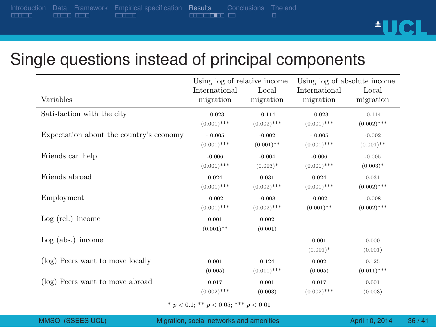. . . . . . Introduction Data Framework<br>COLO COLO . . . . . . Empirical specification Results Conclusions<br>
<del>ELECTER</del> ED

<u>AUCL</u>

## Single questions instead of principal components

|                                         | Using log of relative income |               | Using log of absolute income |               |  |
|-----------------------------------------|------------------------------|---------------|------------------------------|---------------|--|
|                                         | International                | Local         | International                | Local         |  |
| Variables                               | migration                    | migration     | migration                    | migration     |  |
| Satisfaction with the city              | $-0.023$                     | $-0.114$      | $-0.023$                     | $-0.114$      |  |
|                                         | $(0.001)$ ***                | $(0.002)$ *** | $(0.001)$ ***                | $(0.002)$ *** |  |
| Expectation about the country's economy | $-0.005$                     | $-0.002$      | $-0.005$                     | $-0.002$      |  |
|                                         | $(0.001)$ ***                | $(0.001)$ **  | $(0.001)$ ***                | $(0.001)$ **  |  |
| Friends can help                        | $-0.006$                     | $-0.004$      | $-0.006$                     | $-0.005$      |  |
|                                         | $(0.001)$ ***                | $(0.003)^*$   | $(0.001)$ ***                | $(0.003)^*$   |  |
| Friends abroad                          | 0.024                        | 0.031         | 0.024                        | 0.031         |  |
|                                         | $(0.001)$ ***                | $(0.002)$ *** | $(0.001)$ ***                | $(0.002)$ *** |  |
| Employment                              | $-0.002$                     | $-0.008$      | $-0.002$                     | $-0.008$      |  |
|                                         | $(0.001)$ ***                | $(0.002)$ *** | $(0.001)$ **                 | $(0.002)$ *** |  |
| $Log$ (rel.) income                     | 0.001                        | 0.002         |                              |               |  |
|                                         | $(0.001)$ **                 | (0.001)       |                              |               |  |
| $Log (abs.)$ income                     |                              |               | 0.001                        | 0.000         |  |
|                                         |                              |               | $(0.001)^*$                  | (0.001)       |  |
| (log) Peers want to move locally        | 0.001                        | 0.124         | 0.002                        | 0.125         |  |
|                                         | (0.005)                      | $(0.011)$ *** | (0.005)                      | $(0.011)$ *** |  |
| (log) Peers want to move abroad         | 0.017                        | 0.001         | 0.017                        | 0.001         |  |
|                                         | $(0.002)$ ***                | (0.003)       | $(0.002)$ ***                | (0.003)       |  |

SEES UCL) Migration, social networks and amenities  $\overline{A}$  April 10, 2014 36 / 41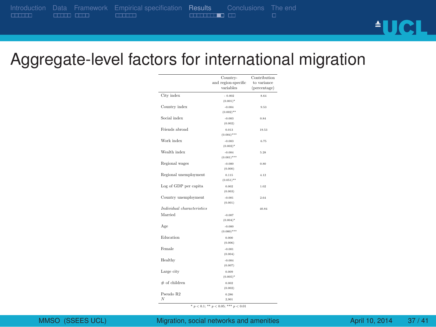. . . . . . Introduction Data Framework<br>COLO COLO . . . . . . Empirical specification Results Conclusions<br>
<del>ELECTER</del> **ED** The end<br>□ <u>AUCL</u>

Aggregate-level factors for international migration

|                            | Country-<br>and region-specific<br>variables | Contribution<br>to variance<br>(percentage) |
|----------------------------|----------------------------------------------|---------------------------------------------|
| City index                 | $-0.002$<br>$(0.001)^*$                      | 8.64                                        |
| Country index              | $-0.004$<br>$(0.002)^{**}$                   | 9.53                                        |
| Social index               | $-0.003$<br>(0.002)                          | 0.84                                        |
| Friends abroad             | 0.013<br>$(0.004)^{***}$                     | 19.53                                       |
| Work index                 | $-0.003$<br>$(0.002)^*$                      | 6.75                                        |
| Wealth index               | $-0.004$<br>$(0.001)^{***}$                  | 5.28                                        |
| Regional wages             | $-0.000$<br>(0.000)                          | 0.80                                        |
| Regional unemployment      | 0.115<br>$(0.051)^{**}$                      | 4.12                                        |
| Log of GDP per capita      | 0.002<br>(0.003)                             | 1.02                                        |
| Country unemployment       | $-0.001$<br>(0.001)                          | 2.64                                        |
| Individual characteristics |                                              | 40.84                                       |
| Married                    | $-0.007$<br>$(0.004)^*$                      |                                             |
| Age                        | $-0.000$<br>$(0.000)^{***}$                  |                                             |
| Education                  | 0.000<br>(0.006)                             |                                             |
| Female                     | $-0.001$<br>(0.004)                          |                                             |
| Healthy                    | $-0.004$<br>(0.007)                          |                                             |
| Large city                 | 0.009<br>$(0.005)^*$                         |                                             |
| # of children              | 0.002<br>(0.002)                             |                                             |
| Pseudo R2<br>Ν             | 0.286<br>2.901                               |                                             |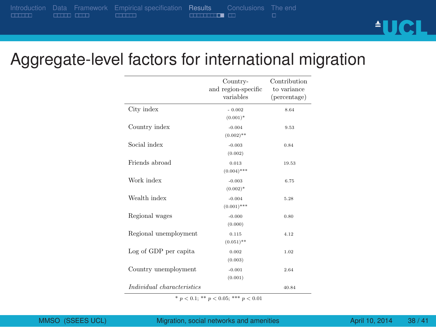. . . . . . Introduction Data Framework<br>COLO COLO . . . . . . Empirical specification Results Conclusions<br>
<del>ELECTION</del>

# **AUCL**

## Aggregate-level factors for international migration

|                            | Country-<br>and region-specific<br>variables | Contribution<br>to variance<br>(percentage) |
|----------------------------|----------------------------------------------|---------------------------------------------|
| City index                 | $-0.002$<br>$(0.001)^*$                      | 8.64                                        |
| Country index              | $-0.004$<br>$(0.002)$ **                     | 9.53                                        |
| Social index               | $-0.003$<br>(0.002)                          | 0.84                                        |
| Friends abroad             | 0.013<br>$(0.004)$ ***                       | 19.53                                       |
| Work index                 | $-0.003$<br>$(0.002)^*$                      | 6.75                                        |
| Wealth index               | $-0.004$<br>$(0.001)$ ***                    | 5.28                                        |
| Regional wages             | $-0.000$<br>(0.000)                          | 0.80                                        |
| Regional unemployment      | 0.115<br>$(0.051)$ **                        | 4.12                                        |
| Log of GDP per capita      | 0.002<br>(0.003)                             | 1.02                                        |
| Country unemployment       | $-0.001$<br>(0.001)                          | 2.64                                        |
| Individual characteristics |                                              | 40.84                                       |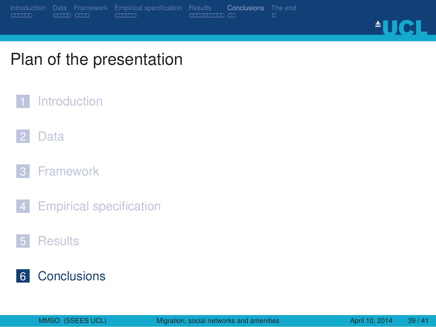![](_page_39_Picture_0.jpeg)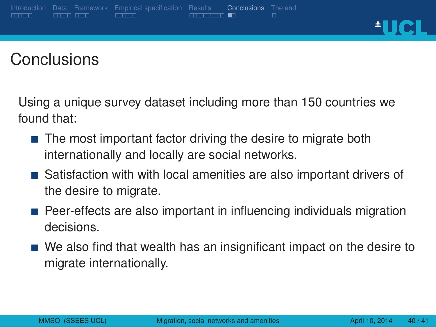**AUCL** 

#### **Conclusions**

Using a unique survey dataset including more than 150 countries we found that:

Results **Conclusions**<br>—————————

- The most important factor driving the desire to migrate both internationally and locally are social networks.
- Satisfaction with with local amenities are also important drivers of the desire to migrate.
- Peer-effects are also important in influencing individuals migration decisions.
- We also find that wealth has an insignificant impact on the desire to migrate internationally.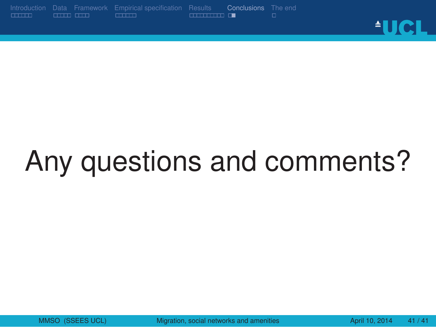. . . . . . Introduction Data Framework<br>COLO COLO . . . . . . Empirical specification Results Conclusions<br>**ELECTERE** E <u>AUCL</u>

# Any questions and comments?